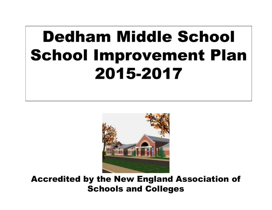# **Dedham Middle School School Improvement Plan** 2015-2017



Accredited by the New England Association of Schools and Colleges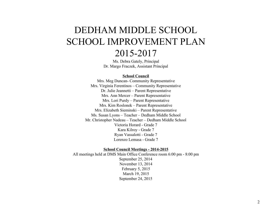# DEDHAM MIDDLE SCHOOL SCHOOL IMPROVEMENT PLAN 20152017

Ms. Debra Gately, Principal Dr. Margo Fraczek, Assistant Principal

#### **School Council**

Mrs. Meg Duncan- Community Representative Mrs. Virginia Ferentinos – Community Representative Dr. Julie Jeannetti – Parent Representative Mrs. Ann Mercer – Parent Representative Mrs. Lori Purdy – Parent Representative Mrs. Kim Roslonek – Parent Representative Mrs. Elizabeth Sieminski – Parent Representative Ms. Susan Lyons – Teacher – Dedham Middle School Mr. Christopher Nadeau – Teacher – Dedham Middle School Victoria Horard - Grade 7 Kara Kilroy - Grade 7 Ryan Vassalotti - Grade 7 Lorenzo Lemasa - Grade 7

#### **School Council Meetings 20142015**

All meetings held at DMS Main Office Conference room 6:00 pm - 8:00 pm September 25, 2014 November 13, 2014 February 5, 2015 March 19, 2015 September 24, 2015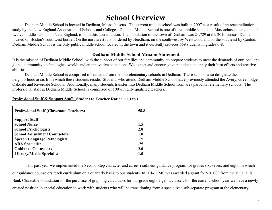# **School Overview**

Dedham Middle School is located in Dedham, Massachusetts. The current middle school was built in 2007 as a result of an reaccreditation study by the New England Association of Schools and Colleges. Dedham Middle School is one of three middle schools in Massachusetts, and one of twelve middle schools in New England, to hold this accreditation. The population of the town of Dedham was 24,729 at the 2010 census. Dedham is located on [Boston](https://en.wikipedia.org/wiki/Boston)'s southwest border. On the northwest it is bordered by [Needham,](https://en.wikipedia.org/wiki/Needham,_Massachusetts) on the southwest by [Westwood](https://en.wikipedia.org/wiki/Westwood,_Massachusetts) and on the southeast by [Canton](https://en.wikipedia.org/wiki/Canton,_Massachusetts). Dedham Middle School is the only public middle school located in the town and it currently services 669 students in grades 6-8.

#### **Dedham Middle School Mission Statement**

It is the mission of Dedham Middle School, with the support of our families and community, to prepare students to meet the demands of our local and global community, technological world, and an innovative education. We expect and encourage our students to apply their best efforts and creative abilities.

Dedham Middle School is comprised of students from the four elementary schools in Dedham. These schools also designate the neighborhood areas from which these students reside. Students who attend Dedham Middle School have previously attended the Avery, Greenlodge, Oakdale and Riverdale Schools. Additionally, many students transfer into Dedham Middle School from area parochial elementary schools. The professional staff at Dedham Middle School is comprised of 100% highly qualified teachers.

| <b>Professional Staff (Classroom Teachers)</b> | 58.8 |
|------------------------------------------------|------|
| <b>Support Staff</b>                           |      |
| <b>School Nurse</b>                            | 1.5  |
| <b>School Psychologists</b>                    | 2.0  |
| <b>School Adjustment Counselors</b>            | 1.0  |
| <b>Speech Language Pathologists</b>            | 1.5  |
| <b>ABA Specialist</b>                          | .25  |
| <b>Guidance Counselors</b>                     | 2.0  |
| Library/Media Specialist                       | 1.0  |

#### **Professional Staff & Support Staff Student to Teacher Ratio: 11.3 to 1**

This past year we implemented the Second Step character and career readiness guidance program for grades six, seven, and eight, in which our guidance counselors teach curriculum on a quarterly basis to our students. In 2014 DMS was awarded a grant for \$10,000 from the Blue Hills Bank Charitable Foundation for the purchase of graphing calculators for our grade eight algebra classes. For the current school year we have a newly created position in special education to work with students who will be transitioning from a specialized sub-separate program at the elementary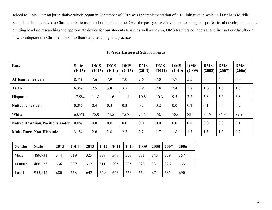school to DMS. Our major initiative which began in September of 2015 was the implementation of a 1:1 initiative in which all Dedham Middle School students received a Chromebook to use in school and at home. Over the past year we have been focusing our professional development at the building level on researching the appropriate device for our students to use as well as having DMS teachers collaborate and instruct our faculty on how to integrate the Chromebooks into their daily teaching and practice.

| Race                                    | <b>State</b><br>(2015) | <b>DMS</b><br>(2015) | <b>DMS</b><br>(2014) | <b>DMS</b><br>(2013) | <b>DMS</b><br>(2012) | <b>DMS</b><br>(2011) | <b>DMS</b><br>(2010) | <b>DMS</b><br>(2009) | <b>DMS</b><br>(2008) | <b>DMS</b><br>(2007) | <b>DMS</b><br>(2006) |
|-----------------------------------------|------------------------|----------------------|----------------------|----------------------|----------------------|----------------------|----------------------|----------------------|----------------------|----------------------|----------------------|
| <b>African American</b>                 | 8.7%                   | 7.6                  | 7.9                  | 7.0                  | 7.6                  | 7.0                  | 7.7                  | 5.5                  | 5.5                  | 6.6                  | 6.8                  |
| <b>Asian</b>                            | 6.3%                   | 2.5                  | 3.8                  | 3.7                  | 3.9                  | 2.8                  | 2.4                  | 1.8                  | 1.6                  | 1.8                  | 1.7                  |
| <b>Hispanic</b>                         | 17.9%                  | 11.8                 | 11.6                 | 11.1                 | 10.8                 | 10.3                 | 9.5                  | 7.2                  | 5.8                  | 5.0                  | 6.8                  |
| <b>Native American</b>                  | 0.2%                   | 0.4                  | 0.3                  | 0.3                  | 0.2                  | 0.2                  | 0.0                  | 0.2                  | 0.1                  | 0.6                  | 0.9                  |
| White                                   | 63.7%                  | 75.0                 | 74.5                 | 75.7                 | 75.5                 | 78.1                 | 78.6                 | 83.6                 | 85.6                 | 84.8                 | 82.9                 |
| <b>Native Hawaiian/Pacific Islander</b> | $0.0\%$                | 0.0                  | 0.0                  | 0.0                  | 0.0                  | 0.0                  | 0.0                  | 0.0                  | 0.0                  | 0.0                  | 0.1                  |
| <b>Multi-Race, Non-Hispanic</b>         | 3.1%                   | 2.6                  | 2.0                  | 2.2                  | 2.2                  | 1.7                  | 1.8                  | 1.7                  | 1.3                  | 1.2                  | 0.7                  |

#### **10Year Historical School Trends**

| Gender       | <b>State</b> | 2015 | 2014 | 2013 | 2012 | 2011 | 2010 | 2009 | 2008 | 2007 | 2006 |
|--------------|--------------|------|------|------|------|------|------|------|------|------|------|
| Male         | 489,731      | 344  | 319  | 325  | 338  | 348  | 358  | 331  | 343  | 339  | 357  |
| Female       | 466,133      | 336  | 339  | 317  | 311  | 295  | 305  | 323  | 331  | 326  | 333  |
| <b>Total</b> | 955,844      | 680  | 658  | 642  | 649  | 643  | 663  | 654  | 674  | 665  | 690  |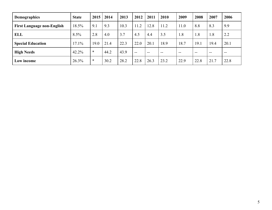| <b>Demographics</b>               | <b>State</b> | 2015   | 2014 | 2013 | 2012  | 2011 | 2010          | 2009 | 2008 | 2007  | 2006  |
|-----------------------------------|--------------|--------|------|------|-------|------|---------------|------|------|-------|-------|
| <b>First Language non-English</b> | 18.5%        | 9.1    | 9.3  | 10.3 | 11.2  | 12.8 | 11.2          | 11.0 | 8.8  | 8.3   | 9.9   |
| <b>ELL</b>                        | $8.5\%$      | 2.8    | 4.0  | 3.7  | 4.5   | 4.4  | 3.5           | 1.8  | 1.8  | 1.8   | 2.2   |
| <b>Special Education</b>          | 17.1%        | 19.0   | 21.4 | 22.3 | 22.0  | 20.1 | 18.9          | 18.7 | 19.1 | 19.4  | 20.1  |
| <b>High Needs</b>                 | 42.2%        | $\ast$ | 44.2 | 43.9 | $- -$ | $-$  | $\sim$ $\sim$ | $-$  | $-$  | $- -$ | $- -$ |
| Low income                        | 26.3%        | $\ast$ | 30.2 | 28.2 | 22.8  | 26.3 | 23.2          | 22.9 | 22.8 | 21.7  | 22.8  |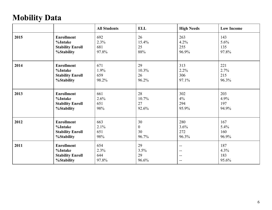# **Mobility Data**

|      |                         | <b>All Students</b> | <b>ELL</b>       | <b>High Needs</b>        | <b>Low Income</b> |
|------|-------------------------|---------------------|------------------|--------------------------|-------------------|
| 2015 | <b>Enrollment</b>       | 692                 | 26               | 263                      | 143               |
|      | %Intake                 | 2.3%                | 15.4%            | 4.2%                     | 5.6%              |
|      | <b>Stability Enroll</b> | 681                 | 25               | 255                      | 135               |
|      | %Stability              | 97.8%               | 88%              | 96.9%                    | 97.8%             |
| 2014 | <b>Enrollment</b>       | 671                 | 29               | 313                      | 221               |
|      | %Intake                 | 1.9%                | 10.3%            | 2.2%                     | 2.7%              |
|      | <b>Stability Enroll</b> | 659                 | 26               | 306                      | 215               |
|      | %Stability              | 98.2%               | 96.2%            | 97.1%                    | 96.3%             |
| 2013 | <b>Enrollment</b>       | 661                 | 28               | 302                      | 203               |
|      | %Intake                 | 2.6%                | 10.7%            | 4%                       | 4.9%              |
|      | <b>Stability Enroll</b> | 651                 | 27               | 294                      | 197               |
|      | %Stability              | 98%                 | 92.6%            | 95.9%                    | 94.9%             |
| 2012 | <b>Enrollment</b>       | 663                 | 30               | 280                      | 167               |
|      | %Intake                 | 2.1%                | $\boldsymbol{0}$ | 3.6%                     | 5.4%              |
|      | <b>Stability Enroll</b> | 651                 | 30               | 272                      | 160               |
|      | %Stability              | 98%                 | 96.7%            | 96.3%                    | 96.9%             |
| 2011 | <b>Enrollment</b>       | 654                 | 29               | $\overline{\phantom{a}}$ | 187               |
|      | %Intake                 | 2.3%                | 3.5%             | $\overline{\phantom{a}}$ | 4.3%              |
|      | <b>Stability Enroll</b> | 644                 | 29               | $\overline{\phantom{a}}$ | 183               |
|      | %Stability              | 97.8%               | 96.6%            | $\overline{\phantom{a}}$ | 95.6%             |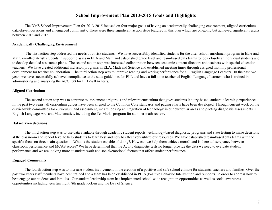#### **School Improvement Plan 20132015 Goals and Highlights**

The DMS School Improvement Plan for 2013-2015 focused on four major goals of having an academically challenging environment, aligned curriculum, data-driven decisions and an engaged community. There were three significant action steps featured in this plan which are on-going but achieved significant results between 2013 and 2015.

#### **Academically Challenging Environment**

The first action step addressed the needs of at-risk students. We have successfully identified students for the after school enrichment program in ELA and Math, enrolled at-risk students in support classes in ELA and Math and established grade level and team-based data teams to look closely at individual students and to develop detailed assistance plans. The second action step was increased collaboration between academic content directors and teachers with special education teachers. We have created additional inclusion programs in ELA, Math and Science and established meeting times through assigned monthly professional development for teacher collaboration. The third action step was to improve reading and writing performance for all English Language Learners. In the past two years we have successfully achieved compliance to the state guidelines for ELL and have a full-time teacher of English Language Learners who is trained in administering and analyzing the ACCESS for ELL/WIDA tests.

#### **Aligned Curriculum**

The second action step was to continue to implement a rigorous and relevant curriculum that gives students inquiry-based, authentic learning experiences. In the past two years, all curriculum guides have been aligned to the Common Core standards and pacing charts have been developed. Through current work on the district-wide committees for curriculum and assessment, we are looking at integration of technology in our curricular areas and piloting diagnostic assessments in English Language Arts and Mathematics, including the TenMarks program for summer math review.

#### **Data-driven decisions**

The third action step was to use data available through academic student reports, technology-based diagnostic programs and state testing to make decisions at the classroom and school level to help students to learn best and how to effectively utilize our resources. We have established teambased data teams with the specific focus on three main questions - What is the student capable of doing?, How can we help them achieve more?, and is there a discrepancy between classroom performance and MCAS scores? We have determined that the Acuity diagnostic tests no longer provide the data we need to evaluate student performance and we are looking more at student work and social/emotional factors that affect student performance.

#### **Engaged Community**

The fourth action step was to increase student involvement in the creation of a positive and safe school climate for students, teachers and families. Over the past two years staff members have been trained and a team has been established in PBIS (Positive Behavior Intervention and Supports) in order to address how to best engage our students and families. Our student leadership team has implemented school-wide recognition opportunities as well as social awareness opportunities including teen fun night, 8th grade lock-in and the Day of Silence.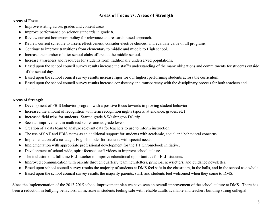#### **Areas of Focus vs. Areas of Strength**

#### **Areas of Focus**

- Improve writing across grades and content areas.
- Improve performance on science standards in grade 8.
- Review current homework policy for relevance and research based approach.
- Review current schedule to assess effectiveness, consider elective choices, and evaluate value of all programs.
- Continue to improve transitions from elementary to middle and middle to High school.
- Increase the number of after school clubs offered at the middle school.
- Increase awareness and resources for students from traditionally underserved populations.
- Based upon the school council survey results increase the staff's understanding of the many obligations and commitments for students outside of the school day.
- Based upon the school council survey results increase rigor for our highest performing students across the curriculum.
- Based upon the school council survey results increase consistency and transparency with the disciplinary process for both teachers and students.

#### **Areas of Strength**

- Development of PBIS behavior program with a positive focus towards improving student behavior.
- Increased the amount of recognition with term recognition nights (sports, attendance, grades, etc)
- Increased field trips for students. Started grade 8 Washington DC trip.
- Seen an improvement in math test scores across grade levels.
- Creation of a data team to analyze relevant data for teachers to use to inform instruction.
- The use of SAT and PBIS teams as an additional support for students with academic, social and behavioral concerns.
- Implementation of a co-taught English model for students with special needs.
- Implementation with appropriate professional development for the 1:1 Chromebook initiative.
- Development of school wide, spirit focused staff videos to improve school culture.
- The inclusion of a full time ELL teacher to improve educational opportunities for ELL students.
- Improved communication with parents through quarterly team newsletters, principal newsletters, and guidance newsletter.
- Based upon school council survey results the majority of students at DMS feel safe in the classroom, in the halls, and in the school as a whole.
- Based upon the school council survey results the majority parents, staff, and students feel welcomed when they come to DMS.

Since the implementation of the 2013-2015 school improvement plan we have seen an overall improvement of the school culture at DMS. There has been a reduction in bullying behaviors, an increase in students feeling safe with reliable adults available and teachers building strong collegial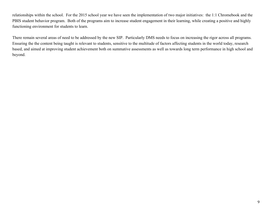relationships within the school. For the 2015 school year we have seen the implementation of two major initiatives: the 1:1 Chromebook and the PBIS student behavior program. Both of the programs aim to increase student engagement in their learning, while creating a positive and highly functioning environment for students to learn.

There remain several areas of need to be addressed by the new SIP. Particularly DMS needs to focus on increasing the rigor across all programs. Ensuring the the content being taught is relevant to students, sensitive to the multitude of factors affecting students in the world today, research based, and aimed at improving student achievement both on summative assessments as well as towards long term performance in high school and beyond.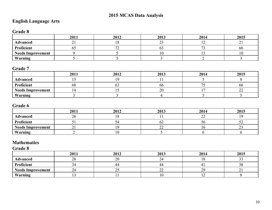# **2015 MCAS Data Analysis**

# **English Language Arts**

## **Grade 8**

|                          | 2011     | 2012 | 2013         | 2014 | 2015 |
|--------------------------|----------|------|--------------|------|------|
| <b>Advanced</b>          | $\sim$ 1 |      | $\sim$<br>ر_ | --   | - -  |
| Proficient               | U.       |      |              |      | oo   |
| <b>Needs Improvement</b> |          |      |              |      |      |
| Warning                  |          |      |              |      |      |

## **Grade 7**

|                          | 2011 | 2012 | 2013 | 2014 | 2015         |
|--------------------------|------|------|------|------|--------------|
| <b>Advanced</b>          |      |      |      |      |              |
| Proficient               | 68   |      | oo   |      | 00           |
| <b>Needs Improvement</b> |      |      | nη   |      | $\sim$<br>-- |
| Warning                  |      |      |      |      |              |

## **Grade 6**

|                          | 2011       | 2012 | 2013        | 2014             | 2015 |
|--------------------------|------------|------|-------------|------------------|------|
| <b>Advanced</b>          | $\angle 0$ |      |             | $\leftharpoonup$ |      |
| Proficient               |            |      | ∪∠          | эu               | ັ    |
| <b>Needs Improvement</b> | ~          |      | $\sim$<br>∼ |                  | ∼    |
| Warning                  |            |      |             |                  |      |

### **Mathematics**

**Grade 8**

|                          | 2011           | 2012     | 2013         | 2014 | 2015                |
|--------------------------|----------------|----------|--------------|------|---------------------|
| <b>Advanced</b>          | $\Omega$<br>20 | 20<br>∠∪ | $\sim$<br>24 | 1 O  | ັບ                  |
| Proficient               | ∼<br>34        | 44       | 44           |      | $\sim$ $\sim$<br>20 |
| <b>Needs Improvement</b> | 24             | ر _      | $\sim$<br>∠∠ | ററ   | ∸                   |
| Warning                  |                |          | ιv           | . .  |                     |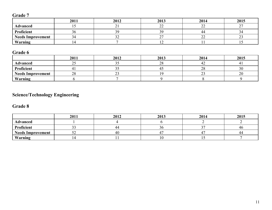# **Grade 7**

|                          | 2011 | 2012 | 2013         | 2014 | 2015 |
|--------------------------|------|------|--------------|------|------|
| <b>Advanced</b>          |      |      | $\sim$<br>-- |      |      |
| Proficient               | 90   |      | 20           | 44   |      |
| <b>Needs Improvement</b> | ≺∠   | ے ب  |              | ⊷    | ∼    |
| Warning                  |      |      | ∸            |      |      |

# **Grade 6**

|                          | 2011                                      | 2012 | 2013         | 2014             | 2015           |
|--------------------------|-------------------------------------------|------|--------------|------------------|----------------|
| <b>Advanced</b>          | $\sim$ $\sim$<br>$\overline{\phantom{m}}$ | ັັ   | $\cap$<br>∠€ | ᠰ᠘               |                |
| Proficient               | ⊶.                                        | ب ب  |              | ററ<br>$\angle 0$ | $\Omega$<br>3U |
| <b>Needs Improvement</b> | $\gamma$<br>28                            |      |              | ر_ ب             | 20             |
| Warning                  |                                           |      |              |                  |                |

# **Science/Technology Engineering**

# **Grade 8**

|                          | 2011                            | 2012 | 2013 | 2014 | 2015 |
|--------------------------|---------------------------------|------|------|------|------|
| Advanced                 |                                 |      |      |      |      |
| Proficient               | $\sim$ $\sim$<br>۔ ر            |      |      | ~-   | 40   |
| <b>Needs Improvement</b> | $\overline{\phantom{a}}$<br>ے ب | 40   |      |      | 44   |
| Warning                  |                                 |      |      | ∸ ∽  |      |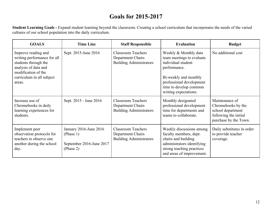# **Goals for 20152017**

**Student Learning Goals** Expand student learning beyond the classroom. Creating a school curriculum that incorporates the needs of the varied cultures of our school population into the daily curriculum.

| <b>GOALS</b>                                                                                                                                                     | <b>Time Line</b>                                                             | <b>Staff Responsible</b>                                                         | <b>Evaluation</b>                                                                                                                                                                                | <b>Budget</b>                                                                                               |
|------------------------------------------------------------------------------------------------------------------------------------------------------------------|------------------------------------------------------------------------------|----------------------------------------------------------------------------------|--------------------------------------------------------------------------------------------------------------------------------------------------------------------------------------------------|-------------------------------------------------------------------------------------------------------------|
| Improve reading and<br>writing performance for all<br>students through the<br>analysis of data and<br>modification of the<br>curriculum in all subject<br>areas. | Sept. 2015-June 2016                                                         | <b>Classroom Teachers</b><br>Department Chairs<br><b>Building Administrators</b> | Weekly & Monthly data<br>team meetings to evaluate<br>individual student<br>performance.<br>Bi-weekly and monthly<br>professional development<br>time to develop common<br>writing expectations. | No additional cost                                                                                          |
| Increase use of<br>Chromebooks in daily<br>learning experiences for<br>students.                                                                                 | Sept. 2015 - June 2016                                                       | <b>Classroom Teachers</b><br>Department Chairs<br><b>Building Administrators</b> | Monthly designated<br>professional development<br>time for departments and<br>teams to collaborate.                                                                                              | Maintenance of<br>Chromebooks by the<br>school department<br>following the initial<br>purchase by the Town. |
| Implement peer<br>observation protocols for<br>teachers to observe one<br>another during the school<br>day.                                                      | January 2016-June 2016<br>(Phase 1)<br>September 2016-June 2017<br>(Phase 2) | <b>Classroom Teachers</b><br>Department Chairs<br><b>Building Administrators</b> | Weekly discussions among<br>faculty members, dept.<br>chairs and building<br>administrators identifying<br>strong teaching practices<br>and areas of improvement.                                | Daily substitutes in order<br>to provide teacher<br>coverage.                                               |